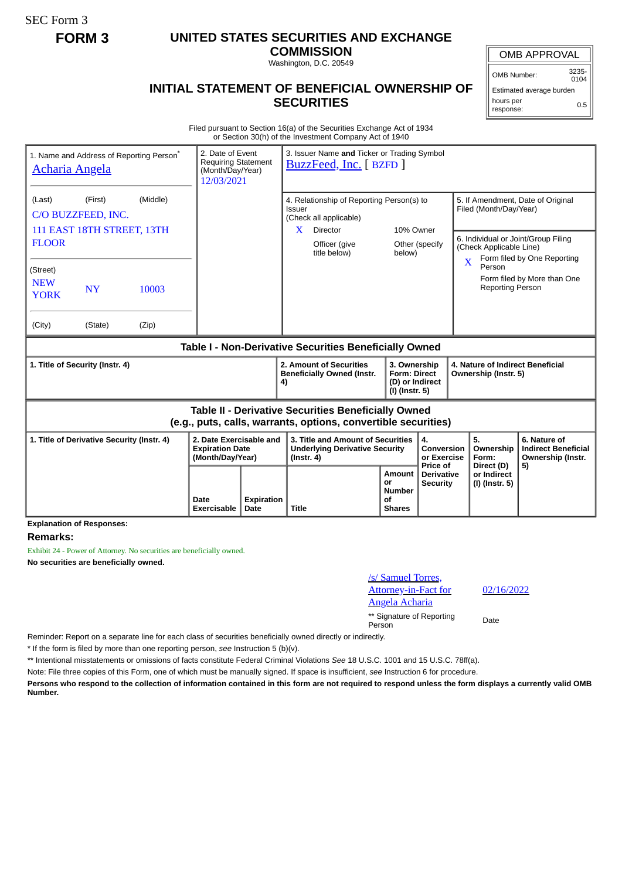SEC Form 3

## **FORM 3 UNITED STATES SECURITIES AND EXCHANGE**

**COMMISSION** Washington, D.C. 20549

## **INITIAL STATEMENT OF BENEFICIAL OWNERSHIP OF SECURITIES**

 $0104$ 

Estimated average burden hours per response: 0.5

Filed pursuant to Section 16(a) of the Securities Exchange Act of 1934 or Section 30(h) of the Investment Company Act of 1940

| 1. Name and Address of Reporting Person <sup>®</sup><br>Acharia Angela                                                | 2. Date of Event<br><b>Requiring Statement</b><br>(Month/Day/Year)<br>12/03/2021 |                           | 3. Issuer Name and Ticker or Trading Symbol<br>BuzzFeed, Inc. [ BZFD ]                                             |                               |                                                                          |                                             |                                                                                                              |                                                                       |  |
|-----------------------------------------------------------------------------------------------------------------------|----------------------------------------------------------------------------------|---------------------------|--------------------------------------------------------------------------------------------------------------------|-------------------------------|--------------------------------------------------------------------------|---------------------------------------------|--------------------------------------------------------------------------------------------------------------|-----------------------------------------------------------------------|--|
| (Middle)<br>(Last)<br>(First)<br>C/O BUZZFEED, INC.<br>111 EAST 18TH STREET, 13TH                                     |                                                                                  |                           | 4. Relationship of Reporting Person(s) to<br><b>Issuer</b><br>(Check all applicable)<br>X<br>Director<br>10% Owner |                               |                                                                          |                                             | 5. If Amendment, Date of Original<br>Filed (Month/Day/Year)                                                  |                                                                       |  |
| <b>FLOOR</b>                                                                                                          |                                                                                  |                           |                                                                                                                    | Officer (give<br>title below) | below)                                                                   | Other (specify                              | 6. Individual or Joint/Group Filing<br>(Check Applicable Line)<br>Form filed by One Reporting<br>X<br>Person |                                                                       |  |
| (Street)<br><b>NEW</b><br><b>NY</b><br>10003<br><b>YORK</b>                                                           |                                                                                  |                           |                                                                                                                    |                               |                                                                          |                                             | <b>Reporting Person</b>                                                                                      | Form filed by More than One                                           |  |
| (City)<br>(Zip)<br>(State)                                                                                            |                                                                                  |                           |                                                                                                                    |                               |                                                                          |                                             |                                                                                                              |                                                                       |  |
| Table I - Non-Derivative Securities Beneficially Owned                                                                |                                                                                  |                           |                                                                                                                    |                               |                                                                          |                                             |                                                                                                              |                                                                       |  |
| 1. Title of Security (Instr. 4)                                                                                       |                                                                                  |                           | 2. Amount of Securities<br><b>Beneficially Owned (Instr.</b><br>4)                                                 |                               | 3. Ownership<br><b>Form: Direct</b><br>(D) or Indirect<br>(I) (Instr. 5) |                                             | 4. Nature of Indirect Beneficial<br>Ownership (Instr. 5)                                                     |                                                                       |  |
| Table II - Derivative Securities Beneficially Owned<br>(e.g., puts, calls, warrants, options, convertible securities) |                                                                                  |                           |                                                                                                                    |                               |                                                                          |                                             |                                                                                                              |                                                                       |  |
| 2. Date Exercisable and<br>1. Title of Derivative Security (Instr. 4)<br><b>Expiration Date</b><br>(Month/Day/Year)   |                                                                                  |                           | 3. Title and Amount of Securities<br><b>Underlying Derivative Security</b><br>$($ lnstr. 4 $)$                     |                               |                                                                          | 4.<br>Conversion<br>or Exercise<br>Price of | 5.<br>Ownership<br>Form:<br>Direct (D)                                                                       | 6. Nature of<br><b>Indirect Beneficial</b><br>Ownership (Instr.<br>5) |  |
|                                                                                                                       | Date<br><b>Exercisable</b>                                                       | <b>Expiration</b><br>Date | <b>Title</b>                                                                                                       |                               | Amount<br>or<br>Number<br>οf<br><b>Shares</b>                            | <b>Derivative</b><br><b>Security</b>        | or Indirect<br>(I) (Instr. 5)                                                                                |                                                                       |  |

**Explanation of Responses:**

## **Remarks:**

Exhibit 24 - Power of Attorney. No securities are beneficially owned. **No securities are beneficially owned.**

| /s/ Samuel Torres,          |
|-----------------------------|
| <b>Attorney-in-Fact for</b> |
| <b>Angela Acharia</b>       |

02/16/2022

\*\* Signature of Reporting Person Date

Reminder: Report on a separate line for each class of securities beneficially owned directly or indirectly.

\* If the form is filed by more than one reporting person, *see* Instruction 5 (b)(v).

\*\* Intentional misstatements or omissions of facts constitute Federal Criminal Violations *See* 18 U.S.C. 1001 and 15 U.S.C. 78ff(a).

Note: File three copies of this Form, one of which must be manually signed. If space is insufficient, *see* Instruction 6 for procedure.

**Persons who respond to the collection of information contained in this form are not required to respond unless the form displays a currently valid OMB Number.**

OMB APPROVAL

OMB Number: 3235-